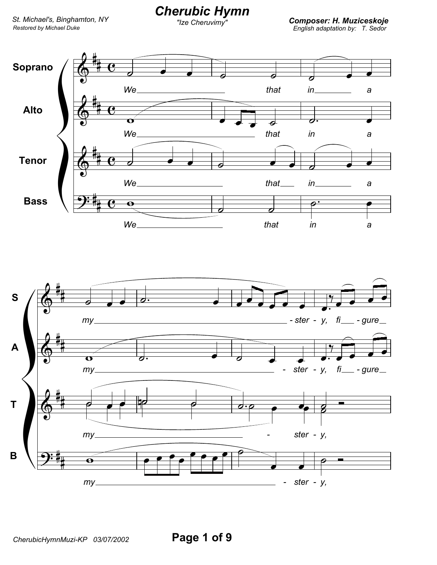## **Cherubic Hymn**

"Ize Cheruvimy"

**Composer: H. Muziceskoje**<br>English adaptation by: T. Sedor

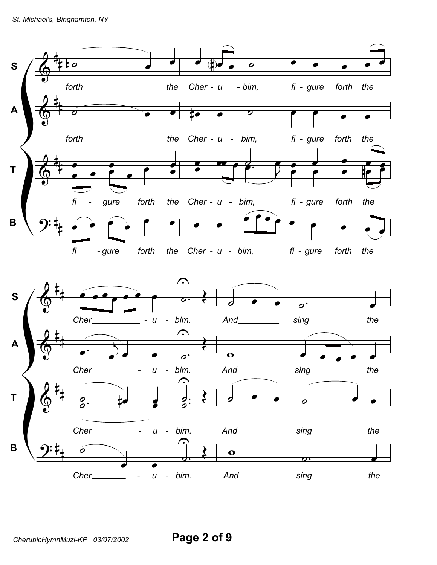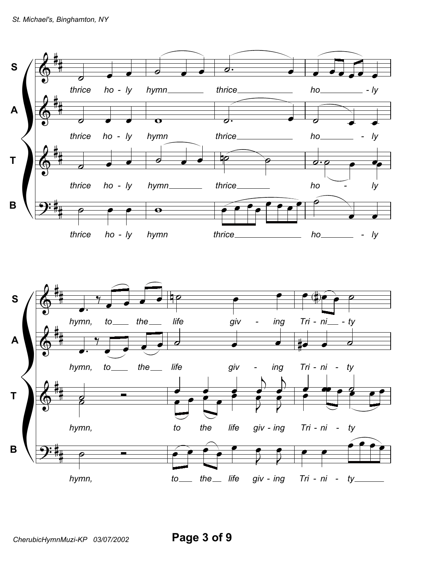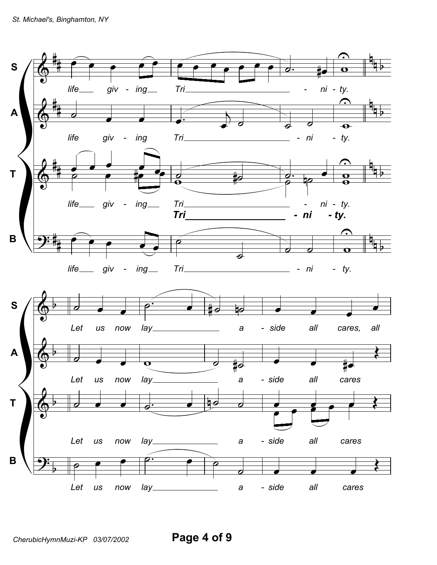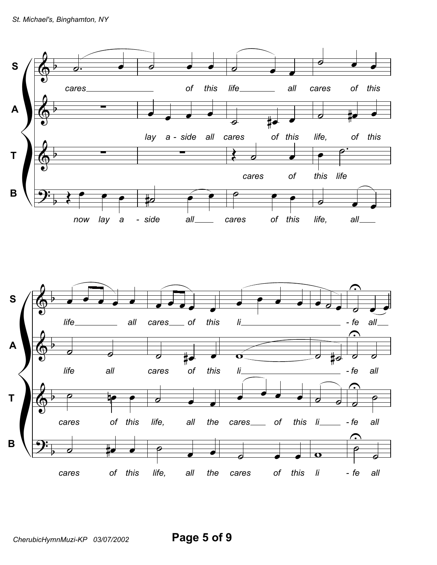

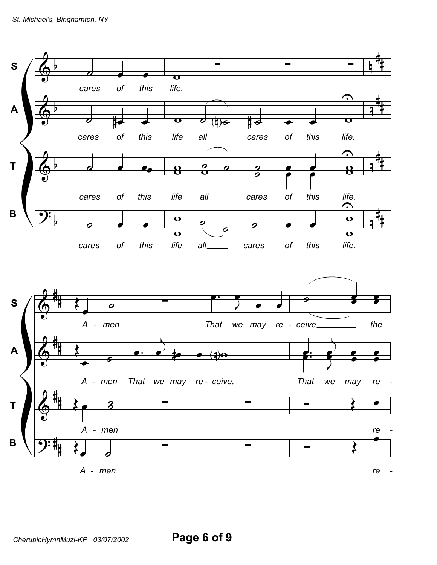

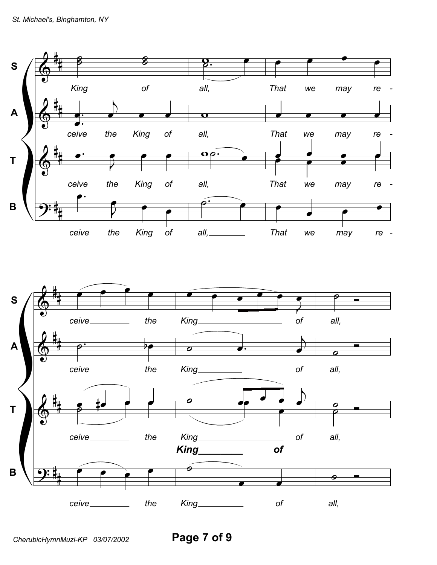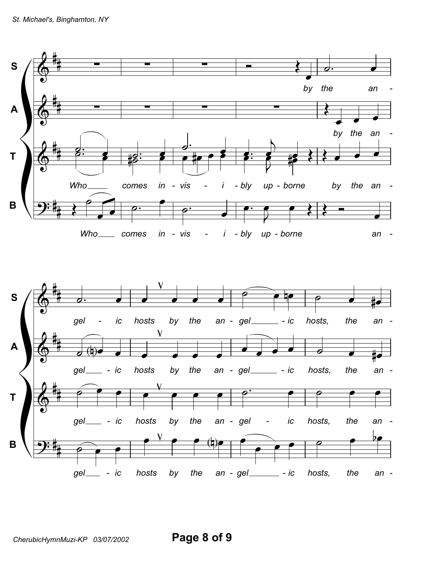